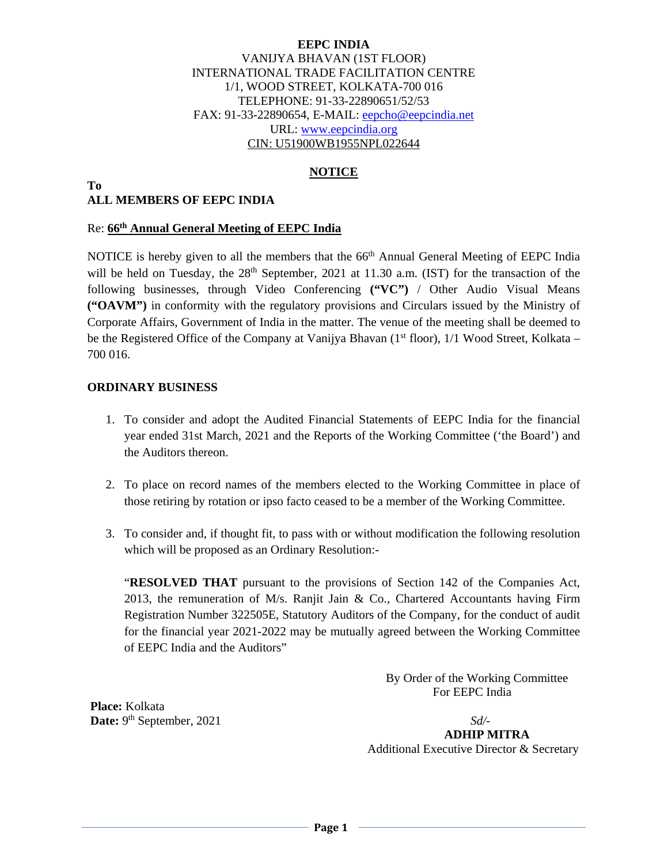#### **EEPC INDIA**  VANIJYA BHAVAN (1ST FLOOR) INTERNATIONAL TRADE FACILITATION CENTRE 1/1, WOOD STREET, KOLKATA-700 016 TELEPHONE: 91-33-22890651/52/53 FAX: 91-33-22890654, E-MAIL: eepcho@eepcindia.net URL: www.eepcindia.org CIN: U51900WB1955NPL022644

### **NOTICE**

#### **To ALL MEMBERS OF EEPC INDIA**

#### Re: **66th Annual General Meeting of EEPC India**

NOTICE is hereby given to all the members that the 66<sup>th</sup> Annual General Meeting of EEPC India will be held on Tuesday, the 28<sup>th</sup> September, 2021 at 11.30 a.m. (IST) for the transaction of the following businesses, through Video Conferencing **("VC")** / Other Audio Visual Means **("OAVM")** in conformity with the regulatory provisions and Circulars issued by the Ministry of Corporate Affairs, Government of India in the matter. The venue of the meeting shall be deemed to be the Registered Office of the Company at Vanijya Bhavan  $(1<sup>st</sup> floor)$ ,  $1/1$  Wood Street, Kolkata – 700 016.

#### **ORDINARY BUSINESS**

- 1. To consider and adopt the Audited Financial Statements of EEPC India for the financial year ended 31st March, 2021 and the Reports of the Working Committee ('the Board') and the Auditors thereon.
- 2. To place on record names of the members elected to the Working Committee in place of those retiring by rotation or ipso facto ceased to be a member of the Working Committee.
- 3. To consider and, if thought fit, to pass with or without modification the following resolution which will be proposed as an Ordinary Resolution:-

"**RESOLVED THAT** pursuant to the provisions of Section 142 of the Companies Act, 2013, the remuneration of M/s. Ranjit Jain & Co., Chartered Accountants having Firm Registration Number 322505E, Statutory Auditors of the Company, for the conduct of audit for the financial year 2021-2022 may be mutually agreed between the Working Committee of EEPC India and the Auditors"

> By Order of the Working CommitteeFor EEPC India

 **Place:** Kolkata **Date:** 9th September, 2021 *Sd/-*

 **ADHIP MITRA** Additional Executive Director & Secretary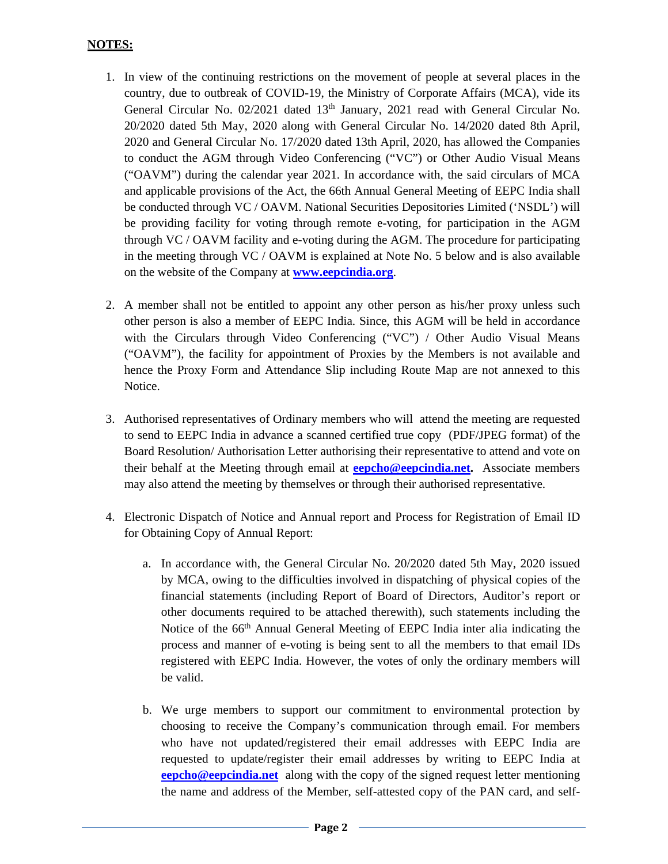## **NOTES:**

- 1. In view of the continuing restrictions on the movement of people at several places in the country, due to outbreak of COVID-19, the Ministry of Corporate Affairs (MCA), vide its General Circular No. 02/2021 dated 13<sup>th</sup> January, 2021 read with General Circular No. 20/2020 dated 5th May, 2020 along with General Circular No. 14/2020 dated 8th April, 2020 and General Circular No. 17/2020 dated 13th April, 2020, has allowed the Companies to conduct the AGM through Video Conferencing ("VC") or Other Audio Visual Means ("OAVM") during the calendar year 2021. In accordance with, the said circulars of MCA and applicable provisions of the Act, the 66th Annual General Meeting of EEPC India shall be conducted through VC / OAVM. National Securities Depositories Limited ('NSDL') will be providing facility for voting through remote e-voting, for participation in the AGM through VC / OAVM facility and e-voting during the AGM. The procedure for participating in the meeting through VC / OAVM is explained at Note No. 5 below and is also available on the website of the Company at **www.eepcindia.org**.
- 2. A member shall not be entitled to appoint any other person as his/her proxy unless such other person is also a member of EEPC India. Since, this AGM will be held in accordance with the Circulars through Video Conferencing ("VC") / Other Audio Visual Means ("OAVM"), the facility for appointment of Proxies by the Members is not available and hence the Proxy Form and Attendance Slip including Route Map are not annexed to this Notice.
- 3. Authorised representatives of Ordinary members who will attend the meeting are requested to send to EEPC India in advance a scanned certified true copy (PDF/JPEG format) of the Board Resolution/ Authorisation Letter authorising their representative to attend and vote on their behalf at the Meeting through email at **eepcho@eepcindia.net.** Associate members may also attend the meeting by themselves or through their authorised representative.
- 4. Electronic Dispatch of Notice and Annual report and Process for Registration of Email ID for Obtaining Copy of Annual Report:
	- a. In accordance with, the General Circular No. 20/2020 dated 5th May, 2020 issued by MCA, owing to the difficulties involved in dispatching of physical copies of the financial statements (including Report of Board of Directors, Auditor's report or other documents required to be attached therewith), such statements including the Notice of the 66<sup>th</sup> Annual General Meeting of EEPC India inter alia indicating the process and manner of e-voting is being sent to all the members to that email IDs registered with EEPC India. However, the votes of only the ordinary members will be valid.
	- b. We urge members to support our commitment to environmental protection by choosing to receive the Company's communication through email. For members who have not updated/registered their email addresses with EEPC India are requested to update/register their email addresses by writing to EEPC India at **eepcho@eepcindia.net** along with the copy of the signed request letter mentioning the name and address of the Member, self-attested copy of the PAN card, and self-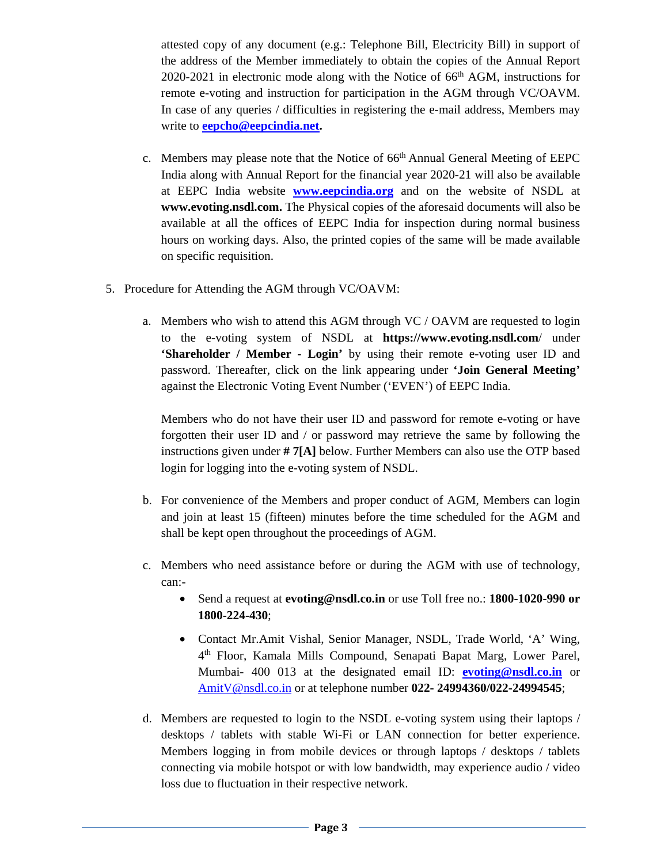attested copy of any document (e.g.: Telephone Bill, Electricity Bill) in support of the address of the Member immediately to obtain the copies of the Annual Report 2020-2021 in electronic mode along with the Notice of 66<sup>th</sup> AGM, instructions for remote e-voting and instruction for participation in the AGM through VC/OAVM. In case of any queries / difficulties in registering the e-mail address, Members may write to **eepcho@eepcindia.net.**

- c. Members may please note that the Notice of 66th Annual General Meeting of EEPC India along with Annual Report for the financial year 2020-21 will also be available at EEPC India website **www.eepcindia.org** and on the website of NSDL at **www.evoting.nsdl.com.** The Physical copies of the aforesaid documents will also be available at all the offices of EEPC India for inspection during normal business hours on working days. Also, the printed copies of the same will be made available on specific requisition.
- 5. Procedure for Attending the AGM through VC/OAVM:
	- a. Members who wish to attend this AGM through VC / OAVM are requested to login to the e-voting system of NSDL at **https://www.evoting.nsdl.com**/ under **'Shareholder / Member - Login'** by using their remote e-voting user ID and password. Thereafter, click on the link appearing under **'Join General Meeting'** against the Electronic Voting Event Number ('EVEN') of EEPC India.

Members who do not have their user ID and password for remote e-voting or have forgotten their user ID and / or password may retrieve the same by following the instructions given under **# 7[A]** below. Further Members can also use the OTP based login for logging into the e-voting system of NSDL.

- b. For convenience of the Members and proper conduct of AGM, Members can login and join at least 15 (fifteen) minutes before the time scheduled for the AGM and shall be kept open throughout the proceedings of AGM.
- c. Members who need assistance before or during the AGM with use of technology, can:-
	- Send a request at **evoting@nsdl.co.in** or use Toll free no.: **1800-1020-990 or 1800-224-430**;
	- Contact Mr.Amit Vishal, Senior Manager, NSDL, Trade World, 'A' Wing, 4th Floor, Kamala Mills Compound, Senapati Bapat Marg, Lower Parel, Mumbai- 400 013 at the designated email ID: **evoting@nsdl.co.in** or AmitV@nsdl.co.in or at telephone number **022- 24994360/022-24994545**;
- d. Members are requested to login to the NSDL e-voting system using their laptops / desktops / tablets with stable Wi-Fi or LAN connection for better experience. Members logging in from mobile devices or through laptops / desktops / tablets connecting via mobile hotspot or with low bandwidth, may experience audio / video loss due to fluctuation in their respective network.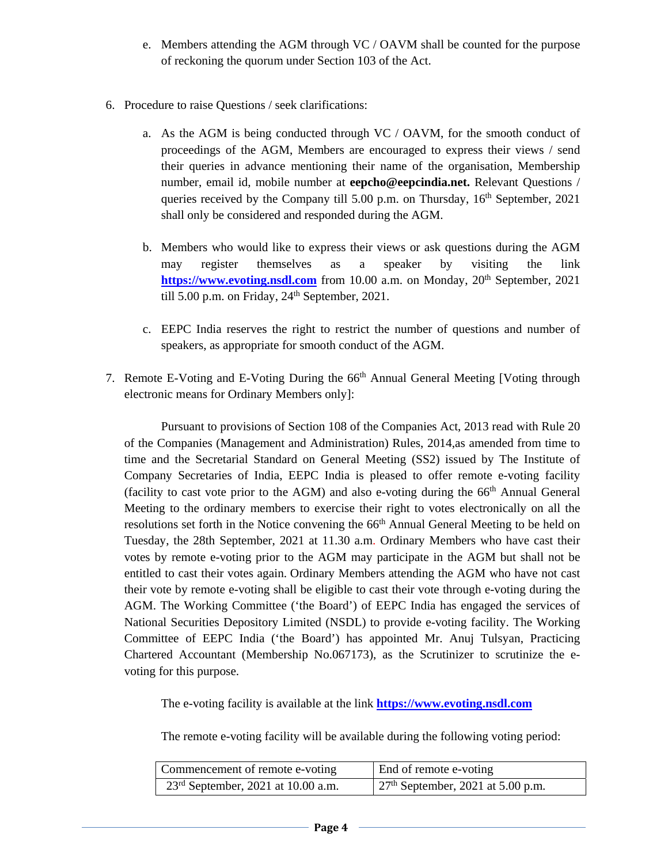- e. Members attending the AGM through VC / OAVM shall be counted for the purpose of reckoning the quorum under Section 103 of the Act.
- 6. Procedure to raise Questions / seek clarifications:
	- a. As the AGM is being conducted through VC / OAVM, for the smooth conduct of proceedings of the AGM, Members are encouraged to express their views / send their queries in advance mentioning their name of the organisation, Membership number, email id, mobile number at **eepcho@eepcindia.net.** Relevant Questions / queries received by the Company till 5.00 p.m. on Thursday,  $16<sup>th</sup>$  September, 2021 shall only be considered and responded during the AGM.
	- b. Members who would like to express their views or ask questions during the AGM may register themselves as a speaker by visiting the link **https://www.evoting.nsdl.com** from 10.00 a.m. on Monday, 20<sup>th</sup> September, 2021 till 5.00 p.m. on Friday, 24<sup>th</sup> September, 2021.
	- c. EEPC India reserves the right to restrict the number of questions and number of speakers, as appropriate for smooth conduct of the AGM.
- 7. Remote E-Voting and E-Voting During the 66<sup>th</sup> Annual General Meeting [Voting through electronic means for Ordinary Members only]:

Pursuant to provisions of Section 108 of the Companies Act, 2013 read with Rule 20 of the Companies (Management and Administration) Rules, 2014,as amended from time to time and the Secretarial Standard on General Meeting (SS2) issued by The Institute of Company Secretaries of India, EEPC India is pleased to offer remote e-voting facility (facility to cast vote prior to the AGM) and also e-voting during the  $66<sup>th</sup>$  Annual General Meeting to the ordinary members to exercise their right to votes electronically on all the resolutions set forth in the Notice convening the 66<sup>th</sup> Annual General Meeting to be held on Tuesday, the 28th September, 2021 at 11.30 a.m. Ordinary Members who have cast their votes by remote e-voting prior to the AGM may participate in the AGM but shall not be entitled to cast their votes again. Ordinary Members attending the AGM who have not cast their vote by remote e-voting shall be eligible to cast their vote through e-voting during the AGM. The Working Committee ('the Board') of EEPC India has engaged the services of National Securities Depository Limited (NSDL) to provide e-voting facility. The Working Committee of EEPC India ('the Board') has appointed Mr. Anuj Tulsyan, Practicing Chartered Accountant (Membership No.067173), as the Scrutinizer to scrutinize the evoting for this purpose.

The e-voting facility is available at the link **https://www.evoting.nsdl.com**

The remote e-voting facility will be available during the following voting period:

| Commencement of remote e-voting      | End of remote e-voting                                    |
|--------------------------------------|-----------------------------------------------------------|
| $23rd$ September, 2021 at 10.00 a.m. | $\frac{1}{27}$ <sup>th</sup> September, 2021 at 5.00 p.m. |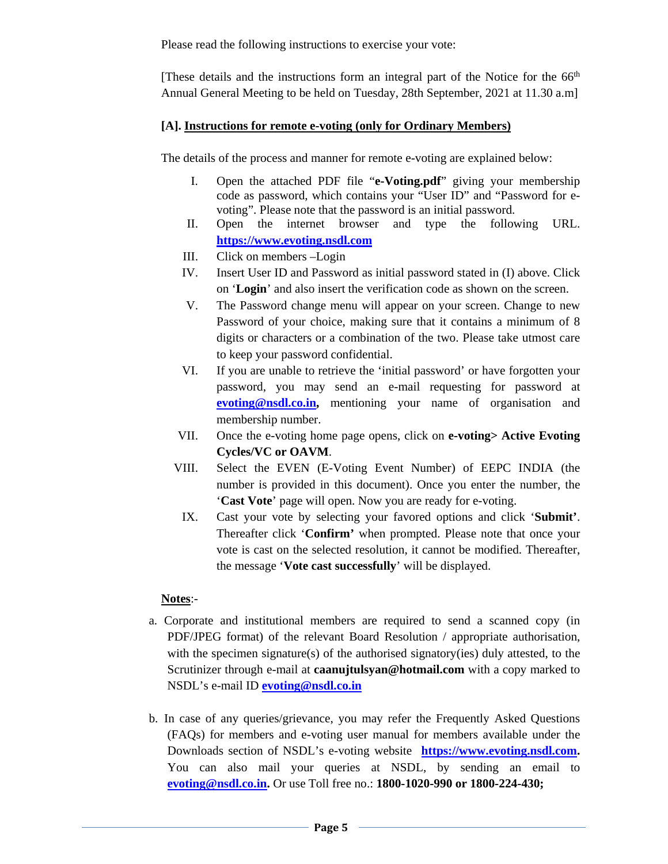Please read the following instructions to exercise your vote:

[These details and the instructions form an integral part of the Notice for the 66<sup>th</sup> Annual General Meeting to be held on Tuesday, 28th September, 2021 at 11.30 a.m]

# **[A]. Instructions for remote e-voting (only for Ordinary Members)**

The details of the process and manner for remote e-voting are explained below:

- I. Open the attached PDF file "**e-Voting.pdf**" giving your membership code as password, which contains your "User ID" and "Password for evoting". Please note that the password is an initial password.
- II. Open the internet browser and type the following URL. **https://www.evoting.nsdl.com**
- III. Click on members –Login
- IV. Insert User ID and Password as initial password stated in (I) above. Click on '**Login**' and also insert the verification code as shown on the screen.
- V. The Password change menu will appear on your screen. Change to new Password of your choice, making sure that it contains a minimum of 8 digits or characters or a combination of the two. Please take utmost care to keep your password confidential.
- VI. If you are unable to retrieve the 'initial password' or have forgotten your password, you may send an e-mail requesting for password at **evoting@nsdl.co.in,** mentioning your name of organisation and membership number.
- VII. Once the e-voting home page opens, click on **e-voting> Active Evoting Cycles/VC or OAVM**.
- VIII. Select the EVEN (E-Voting Event Number) of EEPC INDIA (the number is provided in this document). Once you enter the number, the '**Cast Vote**' page will open. Now you are ready for e-voting.
- IX. Cast your vote by selecting your favored options and click '**Submit'**. Thereafter click '**Confirm'** when prompted. Please note that once your vote is cast on the selected resolution, it cannot be modified. Thereafter, the message '**Vote cast successfully**' will be displayed.

# **Notes**:-

- a. Corporate and institutional members are required to send a scanned copy (in PDF/JPEG format) of the relevant Board Resolution / appropriate authorisation, with the specimen signature(s) of the authorised signatory(ies) duly attested, to the Scrutinizer through e-mail at **caanujtulsyan@hotmail.com** with a copy marked to NSDL's e-mail ID **evoting@nsdl.co.in**
- b. In case of any queries/grievance, you may refer the Frequently Asked Questions (FAQs) for members and e-voting user manual for members available under the Downloads section of NSDL's e-voting website **https://www.evoting.nsdl.com.**  You can also mail your queries at NSDL, by sending an email to **evoting@nsdl.co.in.** Or use Toll free no.: **1800-1020-990 or 1800-224-430;**